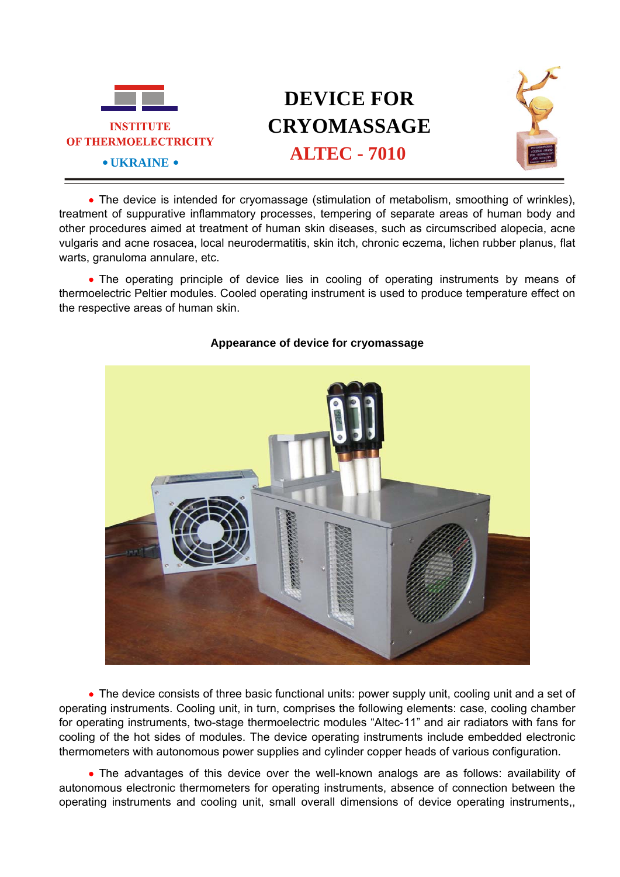

## **DEVICE FOR CRYOMASSAGE ALTEC - 7010**



• The device is intended for cryomassage (stimulation of metabolism, smoothing of wrinkles), treatment of suppurative inflammatory processes, tempering of separate areas of human body and other procedures aimed at treatment of human skin diseases, such as circumscribed alopecia, acne vulgaris and acne rosacea, local neurodermatitis, skin itch, chronic eczema, lichen rubber planus, flat warts, granuloma annulare, etc.

• The operating principle of device lies in cooling of operating instruments by means of thermoelectric Peltier modules. Cooled operating instrument is used to produce temperature effect on the respective areas of human skin.



## **Appearance of device for cryomassage**

• The device consists of three basic functional units: power supply unit, cooling unit and a set of operating instruments. Cooling unit, in turn, comprises the following elements: case, cooling chamber for operating instruments, two-stage thermoelectric modules "Altec-11" and air radiators with fans for cooling of the hot sides of modules. The device operating instruments include embedded electronic thermometers with autonomous power supplies and cylinder copper heads of various configuration.

• The advantages of this device over the well-known analogs are as follows: availability of autonomous electronic thermometers for operating instruments, absence of connection between the operating instruments and cooling unit, small overall dimensions of device operating instruments,,